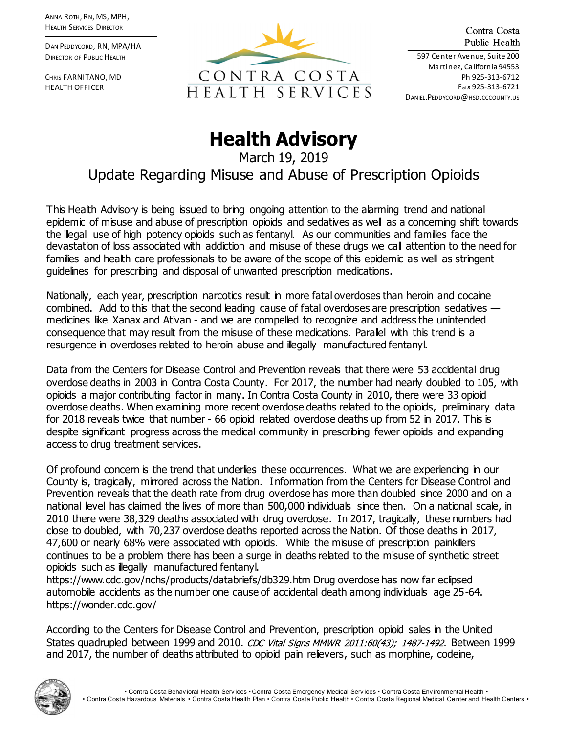ANNA ROTH, RN, MS, MPH, HEALTH SERVICES DIRECTOR

DAN PEDDYCORD, RN, MPA/HA DIRECTOR OF PUBLIC HEALTH

CHRIS FARNITANO, MD HEALTH OFFICER



Contra Costa Public Health

597 Center Avenue, Suite 200 Martinez, California 94553 Ph 925-313-6712 Fax 925-313-6721 DANIEL.PEDDYCORD@HSD.CCCOUNTY.US

## **Health Advisory**

March 19, 2019 Update Regarding Misuse and Abuse of Prescription Opioids

This Health Advisory is being issued to bring ongoing attention to the alarming trend and national epidemic of misuse and abuse of prescription opioids and sedatives as well as a concerning shift towards the illegal use of high potency opioids such as fentanyl. As our communities and families face the devastation of loss associated with addiction and misuse of these drugs we call attention to the need for families and health care professionals to be aware of the scope of this epidemic as well as stringent guidelines for prescribing and disposal of unwanted prescription medications.

Nationally, each year, prescription narcotics result in more fatal overdoses than heroin and cocaine combined. Add to this that the second leading cause of fatal overdoses are prescription sedatives  $$ medicines like Xanax and Ativan - and we are compelled to recognize and address the unintended consequence that may result from the misuse of these medications. Parallel with this trend is a resurgence in overdoses related to heroin abuse and illegally manufactured fentanyl.

Data from the Centers for Disease Control and Prevention reveals that there were 53 accidental drug overdose deaths in 2003 in Contra Costa County. For 2017, the number had nearly doubled to 105, with opioids a major contributing factor in many. In Contra Costa County in 2010, there were 33 opioid overdose deaths. When examining more recent overdose deaths related to the opioids, preliminary data for 2018 reveals twice that number - 66 opioid related overdose deaths up from 52 in 2017. This is despite significant progress across the medical community in prescribing fewer opioids and expanding access to drug treatment services.

Of profound concern is the trend that underlies these occurrences. What we are experiencing in our County is, tragically, mirrored across the Nation. Information from the Centers for Disease Control and Prevention reveals that the death rate from drug overdose has more than doubled since 2000 and on a national level has claimed the lives of more than 500,000 individuals since then. On a national scale, in 2010 there were 38,329 deaths associated with drug overdose. In 2017, tragically, these numbers had close to doubled, with 70,237 overdose deaths reported across the Nation. Of those deaths in 2017, 47,600 or nearly 68% were associated with opioids. While the misuse of prescription painkillers continues to be a problem there has been a surge in deaths related to the misuse of synthetic street opioids such as illegally manufactured fentanyl.

https://www.cdc.gov/nchs/products/databriefs/db329.htm Drug overdose has now far eclipsed automobile accidents as the number one cause of accidental death among individuals age 25-64. https://wonder.cdc.gov/

According to the Centers for Disease Control and Prevention, prescription opioid sales in the United States quadrupled between 1999 and 2010. CDC Vital Signs MMWR 2011:60(43): 1487-1492. Between 1999 and 2017, the number of deaths attributed to opioid pain relievers, such as morphine, codeine,

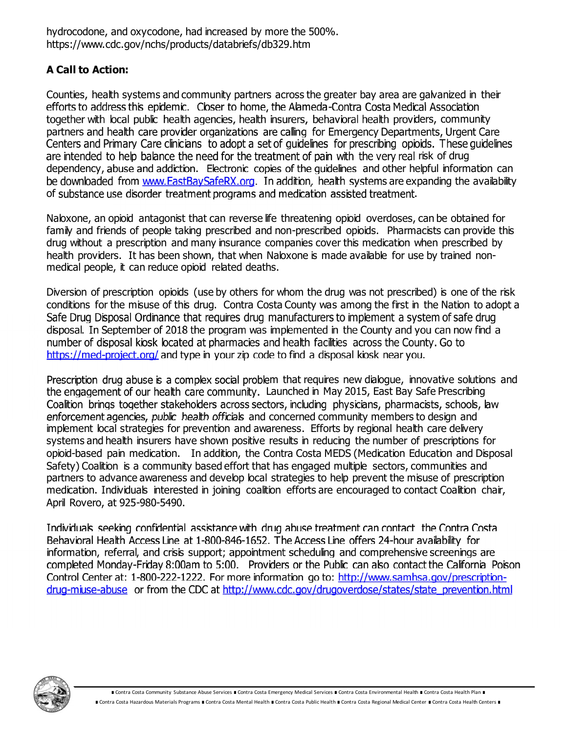hydrocodone, and oxycodone, had increased by more the 500%. https://www.cdc.gov/nchs/products/databriefs/db329.htm

## **A Call to Action:**

Counties, health systems and community partners across the greater bay area are galvanized in their efforts to address this epidemic. Closer to home, the Alameda-Contra Costa Medical Association together with local public health agencies, health insurers, behavioral health providers, community partners and health care provider organizations are calling for Emergency Departments, Urgent Care Centers and Primary Care clinicians to adopt a set of quidelines for prescribing opioids. These quidelines are intended to help balance the need for the treatment of pain with the very real risk of drug dependency, abuse and addiction. Electronic copies of the quidelines and other helpful information can be downloaded from www.EastBaySafeRX.org. In addition, health systems are expanding the availability of substance use disorder treatment programs and medication assisted treatment.

Naloxone, an opioid antagonist that can reverse life threatening opioid overdoses, can be obtained for family and friends of people taking prescribed and non-prescribed opioids. Pharmacists can provide this drug without a prescription and many insurance companies cover this medication when prescribed by health providers. It has been shown, that when Naloxone is made available for use by trained nonmedical people, it can reduce opioid related deaths.

Diversion of prescription opioids (use by others for whom the drug was not prescribed) is one of the risk conditions for the misuse of this drug. Contra Costa County was among the first in the Nation to adopt a Safe Drug Disposal Ordinance that requires drug manufacturers to implement a system of safe drug disposal. In September of 2018 the program was implemented in the County and you can now find a number of disposal kiosk located at pharmacies and health facilities across the County. Go to https://med-project.org/ and type in your zip code to find a disposal kiosk near you.

Prescription drug abuse is a complex social problem that requires new dialogue, innovative solutions and the engagement of our health care community. Launched in May 2015, East Bay Safe Prescribing Coalition brings together stakeholders across sectors, including physicians, pharmacists, schools, law enforcement agencies, public health officials and concerned community members to design and implement local strategies for prevention and awareness. Efforts by regional health care delivery systems and health insurers have shown positive results in reducing the number of prescriptions for opioid-based pain medication. In addition, the Contra Costa MEDS (Medication Education and Disposal Safety) Coalition is a community based effort that has engaged multiple sectors, communities and partners to advance awareness and develop local strategies to help prevent the misuse of prescription medication. Individuals interested in joining coalition efforts are encouraged to contact Coalition chair, April Rovero, at 925-980-5490.

Individuals seeking confidential assistance with drug abuse treatment can contact the Contra Costa Behavioral Health Access Line at 1-800-846-1652. The Access Line offers 24-hour availability for information, referral, and crisis support; appointment scheduling and comprehensive screenings are completed Monday-Friday 8:00am to 5:00. Providers or the Public can also contact the California Poison Control Center at: 1-800-222-1222. For more information go to: http://www.samhsa.gov/prescriptiondrug-miuse-abuse or from the CDC at http://www.cdc.gov/drugoverdose/states/state prevention.html